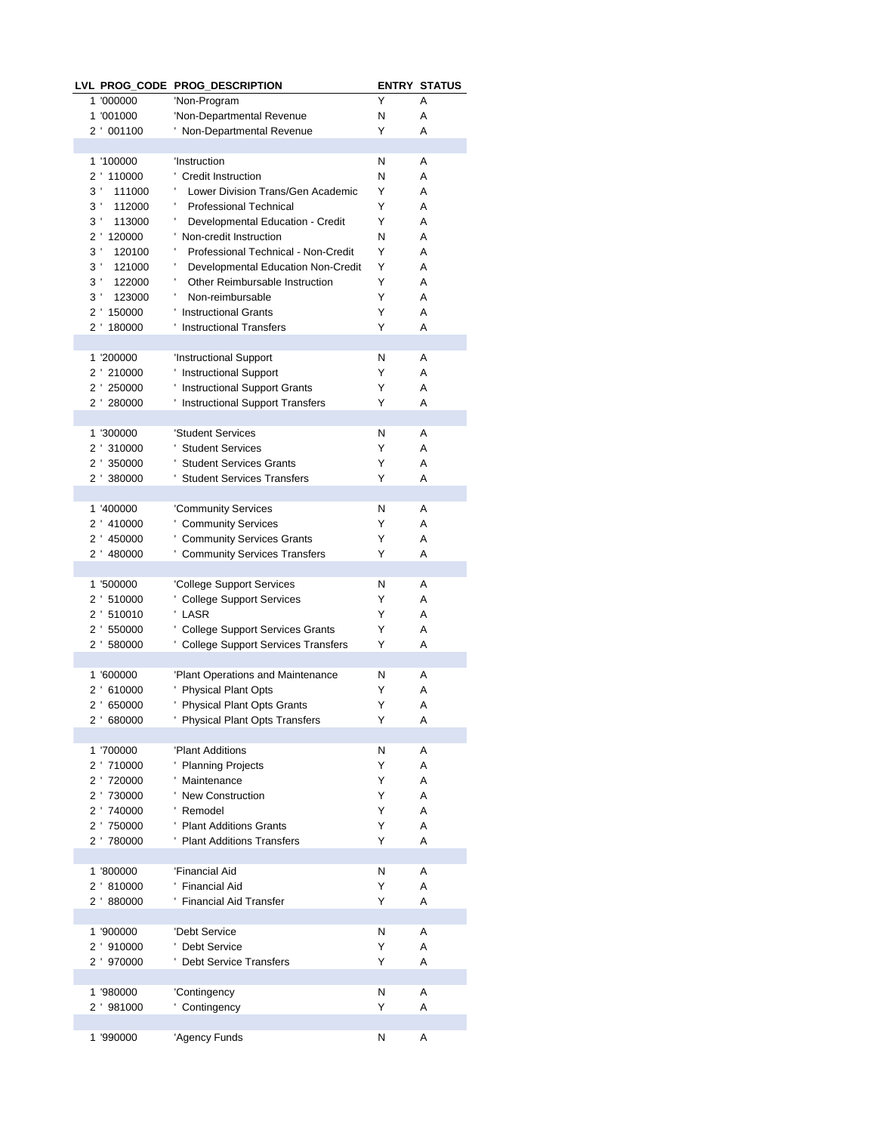|                |                          | LVL PROG_CODE PROG_DESCRIPTION                            |        | <b>ENTRY STATUS</b> |
|----------------|--------------------------|-----------------------------------------------------------|--------|---------------------|
|                | 1 '000000                | 'Non-Program                                              | Υ      | A                   |
|                | 1 '001000                | 'Non-Departmental Revenue                                 | N      | Α                   |
|                | 2 ' 001100               | ' Non-Departmental Revenue                                | Y      | A                   |
|                |                          |                                                           |        |                     |
|                | 1 '100000                | 'Instruction                                              | Ν      | Α                   |
|                | 2 ' 110000               | ' Credit Instruction                                      | N      | Α                   |
| $3^{\prime}$   | 111000                   | Lower Division Trans/Gen Academic                         | Y      | Α                   |
| $3^{\prime}$   | 112000                   | <b>Professional Technical</b>                             | Y      | A                   |
| $3^{\prime}$   | 113000                   | Developmental Education - Credit                          | Y      | A                   |
|                | 2 ' 120000               | Non-credit Instruction                                    | N      | Α                   |
| $3^{\prime}$   | 120100                   | Professional Technical - Non-Credit                       | Y      | Α                   |
| $3^{\prime}$   | 121000                   | Developmental Education Non-Credit                        | Y      | A                   |
| $3^{\prime}$   | 122000                   | Other Reimbursable Instruction<br>ı,                      | Y      | A                   |
| 3 <sup>1</sup> | 123000                   | Non-reimbursable                                          | Y      | A                   |
|                | 2 ' 150000               | ' Instructional Grants                                    | Y      | Α                   |
|                | 2 ' 180000               | ' Instructional Transfers                                 | Y      | A                   |
|                |                          |                                                           |        |                     |
|                | 1 '200000                | 'Instructional Support                                    | N      | Α                   |
|                | 2 ' 210000               | ' Instructional Support                                   | Y      | Α                   |
|                | 2 ' 250000               | ' Instructional Support Grants                            | Y      | Α                   |
|                | 2 ' 280000               | ' Instructional Support Transfers                         | Y      | A                   |
|                |                          |                                                           |        |                     |
|                | 1 '300000                | 'Student Services<br>' Student Services                   | N<br>Y | Α<br>Α              |
|                | 2 ' 310000               |                                                           |        |                     |
|                | 2 ' 350000<br>2 ' 380000 | ' Student Services Grants<br>' Student Services Transfers | Y<br>Y | Α<br>Α              |
|                |                          |                                                           |        |                     |
|                | 1 '400000                | 'Community Services                                       | N      | Α                   |
|                | 2 ' 410000               | ' Community Services                                      | Y      | A                   |
|                | 2 ' 450000               | ' Community Services Grants                               | Y      | Α                   |
|                | 2 ' 480000               | ' Community Services Transfers                            | Y      | A                   |
|                |                          |                                                           |        |                     |
|                | 1 '500000                | 'College Support Services                                 | N      | Α                   |
|                | 2 ' 510000               | ' College Support Services                                | Y      | A                   |
|                | 2 ' 510010               | ' LASR                                                    | Y      | Α                   |
|                | 2 ' 550000               | ' College Support Services Grants                         | Y      | Α                   |
|                | 2 ' 580000               | ' College Support Services Transfers                      | Y      | A                   |
|                |                          |                                                           |        |                     |
|                | 1 '600000                | 'Plant Operations and Maintenance                         | N      | Α                   |
|                | 2 ' 610000               | ' Physical Plant Opts                                     | Y      | Α                   |
|                | 2 '650000                | ' Physical Plant Opts Grants                              | Y      | Α                   |
|                | 2 ' 680000               | ' Physical Plant Opts Transfers                           | Y      | Α                   |
|                |                          |                                                           |        |                     |
|                | 1 '700000                | 'Plant Additions                                          | N      | Α                   |
|                | 2 710000                 | ' Planning Projects                                       | Y      | Α                   |
|                | 2 ' 720000               | ' Maintenance                                             | Y      | Α                   |
|                | 2 730000                 | ' New Construction                                        | Y      | Α                   |
|                | 2 740000                 | ' Remodel                                                 | Y      | Α                   |
|                | 2 750000                 | ' Plant Additions Grants                                  | Y      | Α                   |
|                | 2 780000                 | ' Plant Additions Transfers                               | Y      | A                   |
|                |                          |                                                           |        |                     |
|                | 1 '800000                | 'Financial Aid                                            | N      | Α                   |
|                | 2 '810000                | ' Financial Aid                                           | Y      | Α                   |
|                | 2 '880000                | ' Financial Aid Transfer                                  | Y      | A                   |
|                |                          |                                                           |        |                     |
|                | 1 '900000                | 'Debt Service                                             | Ν      | Α                   |
|                | 2 ' 910000               | ' Debt Service                                            | Y      | Α                   |
|                | 2 ' 970000               | ' Debt Service Transfers                                  | Y      | A                   |
|                |                          |                                                           |        |                     |
|                | 1 '980000                | 'Contingency                                              | Ν      | Α                   |
|                | 2 ' 981000               | ' Contingency                                             | Y      | Α                   |
|                |                          |                                                           |        |                     |
|                | 1 '990000                | 'Agency Funds                                             | N      | Α                   |